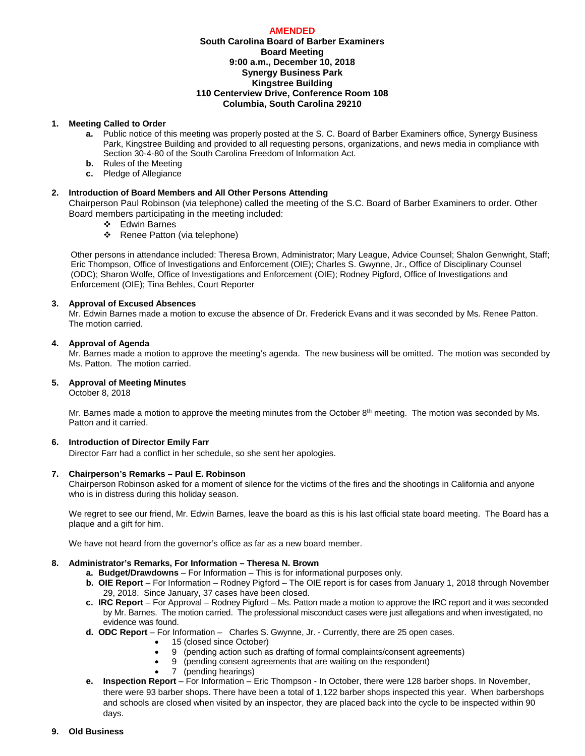### **AMENDED**

# **South Carolina Board of Barber Examiners Board Meeting 9:00 a.m., December 10, 2018 Synergy Business Park Kingstree Building 110 Centerview Drive, Conference Room 108 Columbia, South Carolina 29210**

### **1. Meeting Called to Order**

- **a.** Public notice of this meeting was properly posted at the S. C. Board of Barber Examiners office, Synergy Business Park, Kingstree Building and provided to all requesting persons, organizations, and news media in compliance with Section 30-4-80 of the South Carolina Freedom of Information Act.
- **b.** Rules of the Meeting
- **c.** Pledge of Allegiance

# **2. Introduction of Board Members and All Other Persons Attending**

Chairperson Paul Robinson (via telephone) called the meeting of the S.C. Board of Barber Examiners to order. Other Board members participating in the meeting included:

- Edwin Barnes
- ❖ Renee Patton (via telephone)

Other persons in attendance included: Theresa Brown, Administrator; Mary League, Advice Counsel; Shalon Genwright, Staff; Eric Thompson, Office of Investigations and Enforcement (OIE); Charles S. Gwynne, Jr., Office of Disciplinary Counsel (ODC); Sharon Wolfe, Office of Investigations and Enforcement (OIE); Rodney Pigford, Office of Investigations and Enforcement (OIE); Tina Behles, Court Reporter

### **3. Approval of Excused Absences**

Mr. Edwin Barnes made a motion to excuse the absence of Dr. Frederick Evans and it was seconded by Ms. Renee Patton. The motion carried.

### **4. Approval of Agenda**

Mr. Barnes made a motion to approve the meeting's agenda. The new business will be omitted. The motion was seconded by Ms. Patton. The motion carried.

# **5. Approval of Meeting Minutes**

October 8, 2018

Mr. Barnes made a motion to approve the meeting minutes from the October  $8<sup>th</sup>$  meeting. The motion was seconded by Ms. Patton and it carried.

# **6. Introduction of Director Emily Farr**

Director Farr had a conflict in her schedule, so she sent her apologies.

### **7. Chairperson's Remarks – Paul E. Robinson**

Chairperson Robinson asked for a moment of silence for the victims of the fires and the shootings in California and anyone who is in distress during this holiday season.

We regret to see our friend, Mr. Edwin Barnes, leave the board as this is his last official state board meeting. The Board has a plaque and a gift for him.

We have not heard from the governor's office as far as a new board member.

# **8. Administrator's Remarks, For Information – Theresa N. Brown**

- **a. Budget/Drawdowns** For Information This is for informational purposes only.
- **b. OIE Report**  For Information Rodney Pigford The OIE report is for cases from January 1, 2018 through November 29, 2018. Since January, 37 cases have been closed.
- **c. IRC Report**  For Approval Rodney Pigford Ms. Patton made a motion to approve the IRC report and it was seconded by Mr. Barnes. The motion carried. The professional misconduct cases were just allegations and when investigated, no evidence was found.
- **d. ODC Report**  For Information Charles S. Gwynne, Jr. Currently, there are 25 open cases.
	- 15 (closed since October)
		- 9 (pending action such as drafting of formal complaints/consent agreements)
		- 9 (pending consent agreements that are waiting on the respondent)
	- 7 (pending hearings)
- **e. Inspection Report** For Information Eric Thompson In October, there were 128 barber shops. In November, there were 93 barber shops. There have been a total of 1,122 barber shops inspected this year. When barbershops and schools are closed when visited by an inspector, they are placed back into the cycle to be inspected within 90 days.